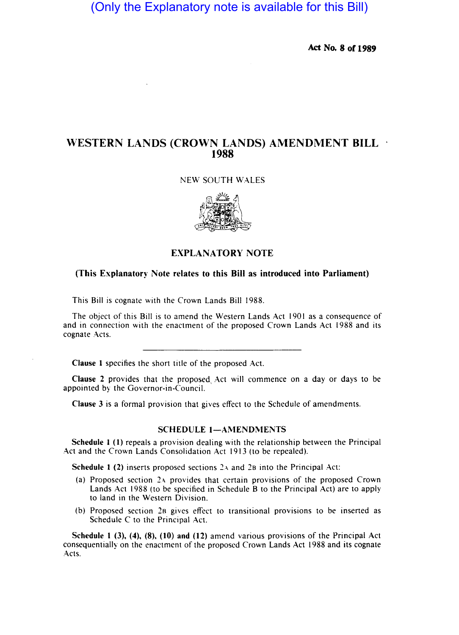# (Only the Explanatory note is available for this Bill)

Act No. 8 of 1989

## WESTERN LANDS (CROWN LANDS) AMENDMENT BILL 1988

NEW SOUTH WALES



### EXPLANA TORY NOTE

#### (This Explanatory Note relates to this Bill as introduced into Parliament)

This Bill is cognate with the Crown Lands Bill 1988.

The object of this Bill is to amend the Western Lands Act 1901 as a consequence of and in connection with the enactment of the proposed Crown Lands Act 1988 and its cognate Acts.

Clause I specifies the short title of the proposed Act.

Clause 2 provides that the proposed, Act will commence on a day or days to be appointed by the Governor-in-Council.

Clause 3 is a formal provision that gives effect to the Schedule of amendments.

#### SCHEDULE 1-AMENDMENTS

Schedule I (1) repeals a provision dealing with the relationship between the Principal Act and the Crown Lands Consolidation Act 1913 (to be repealed).

Schedule 1 (2) inserts proposed sections  $2a$  and  $2b$  into the Principal Act:

- (a) Proposed section 2.4 provides that certain provisions of the proposed Crown Lands Act 1988 (to be specified in Schedule B to the Principal Act) are to apply to land in the Western Division.
- (b) Proposed section 2B gives effect to transitional provisions to be inserted as Schedule C to the Principal Act.

Schedule I (3), (4), (8), (10) and (12) amend various provisions of the Principal Act consequentially on the enactment of the proposed Crown Lands Act 1988 and its cognate Acts.